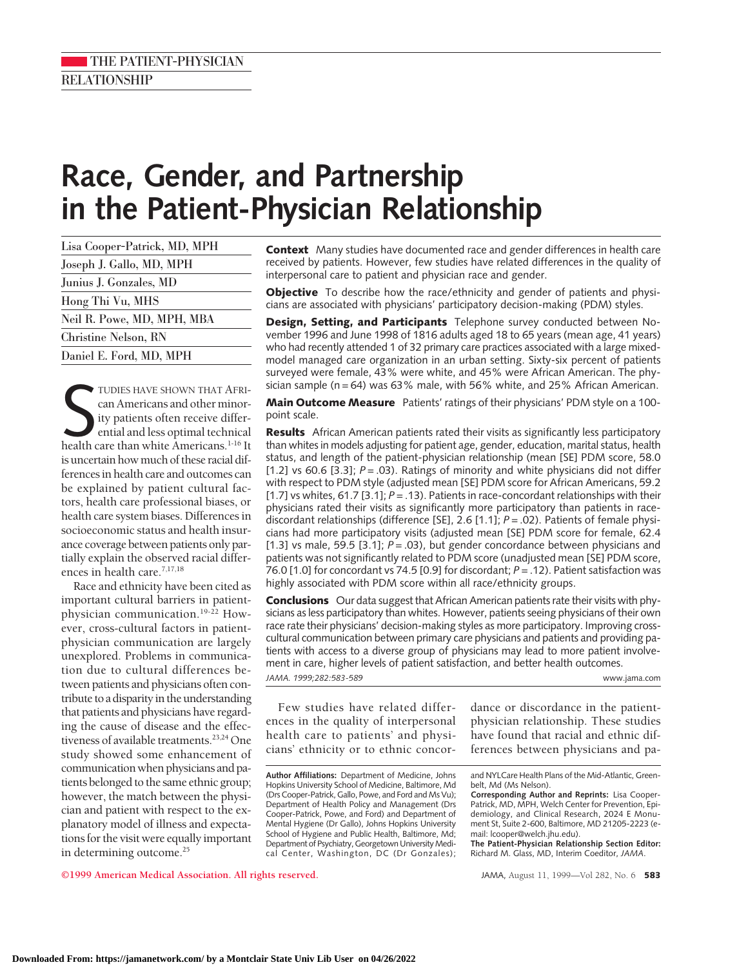# **Race, Gender, and Partnership in the Patient-Physician Relationship**

| Lisa Cooper-Patrick, MD, MPH |  |
|------------------------------|--|
| Joseph J. Gallo, MD, MPH     |  |
| Junius J. Gonzales, MD       |  |
| Hong Thi Vu, MHS             |  |
| Neil R. Powe, MD, MPH, MBA   |  |
| Christine Nelson, RN         |  |
| Daniel E. Ford, MD, MPH      |  |

TUDIES HAVE SHOWN THAT AFRI-<br>
can Americans and other minor-<br>
ity patients often receive differ-<br>
ential and less optimal technical<br>
health care than white Americans.<sup>1-16</sup> It TUDIES HAVE SHOWN THAT AFRIcan Americans and other minority patients often receive differential and less optimal technical is uncertain how much of these racial differences in health care and outcomes can be explained by patient cultural factors, health care professional biases, or health care system biases. Differences in socioeconomic status and health insurance coverage between patients only partially explain the observed racial differences in health care.<sup>7,17,18</sup>

Race and ethnicity have been cited as important cultural barriers in patientphysician communication.19-22 However, cross-cultural factors in patientphysician communication are largely unexplored. Problems in communication due to cultural differences between patients and physicians often contribute to a disparity in the understanding that patients and physicians have regarding the cause of disease and the effectiveness of available treatments.<sup>23,24</sup> One study showed some enhancement of communication when physicians and patients belonged to the same ethnic group; however, the match between the physician and patient with respect to the explanatory model of illness and expectations for the visit were equally important in determining outcome.<sup>25</sup>

**Context** Many studies have documented race and gender differences in health care received by patients. However, few studies have related differences in the quality of interpersonal care to patient and physician race and gender.

**Objective** To describe how the race/ethnicity and gender of patients and physicians are associated with physicians' participatory decision-making (PDM) styles.

**Design, Setting, and Participants** Telephone survey conducted between November 1996 and June 1998 of 1816 adults aged 18 to 65 years (mean age, 41 years) who had recently attended 1 of 32 primary care practices associated with a large mixedmodel managed care organization in an urban setting. Sixty-six percent of patients surveyed were female, 43% were white, and 45% were African American. The physician sample ( $n = 64$ ) was 63% male, with 56% white, and 25% African American.

**Main Outcome Measure** Patients' ratings of their physicians' PDM style on a 100 point scale.

**Results** African American patients rated their visits as significantly less participatory than whites in models adjusting for patient age, gender, education, marital status, health status, and length of the patient-physician relationship (mean [SE] PDM score, 58.0 [1.2] vs 60.6 [3.3];  $P = .03$ ). Ratings of minority and white physicians did not differ with respect to PDM style (adjusted mean [SE] PDM score for African Americans, 59.2 [1.7] vs whites, 61.7 [3.1]; *P* = .13). Patients in race-concordant relationships with their physicians rated their visits as significantly more participatory than patients in racediscordant relationships (difference [SE], 2.6 [1.1]; *P* = .02). Patients of female physicians had more participatory visits (adjusted mean [SE] PDM score for female, 62.4  $[1.3]$  vs male, 59.5  $[3.1]$ ;  $P = .03$ ), but gender concordance between physicians and patients was not significantly related to PDM score (unadjusted mean [SE] PDM score, 76.0 [1.0] for concordant vs 74.5 [0.9] for discordant; *P* = .12). Patient satisfaction was highly associated with PDM score within all race/ethnicity groups.

**Conclusions** Our data suggest that African American patients rate their visits with physicians as less participatory than whites. However, patients seeing physicians of their own race rate their physicians' decision-making styles as more participatory. Improving crosscultural communication between primary care physicians and patients and providing patients with access to a diverse group of physicians may lead to more patient involvement in care, higher levels of patient satisfaction, and better health outcomes.

*JAMA. 1999;282:583-589* www.jama.com

Few studies have related differences in the quality of interpersonal health care to patients' and physicians' ethnicity or to ethnic concor-

**Author Affiliations:** Department of Medicine, Johns Hopkins University School of Medicine, Baltimore, Md (Drs Cooper-Patrick, Gallo, Powe, and Ford and Ms Vu); Department of Health Policy and Management (Drs Cooper-Patrick, Powe, and Ford) and Department of Mental Hygiene (Dr Gallo), Johns Hopkins University School of Hygiene and Public Health, Baltimore, Md; Department of Psychiatry, Georgetown University Medical Center, Washington, DC (Dr Gonzales);

dance or discordance in the patientphysician relationship. These studies have found that racial and ethnic differences between physicians and pa-

and NYLCare Health Plans of the Mid-Atlantic, Greenbelt, Md (Ms Nelson).

**The Patient-Physician Relationship Section Editor:** Richard M. Glass, MD, Interim Coeditor, *JAMA*.

**Corresponding Author and Reprints:** Lisa Cooper-Patrick, MD, MPH, Welch Center for Prevention, Epidemiology, and Clinical Research, 2024 E Monument St, Suite 2-600, Baltimore, MD 21205-2223 (email: lcooper@welch.jhu.edu).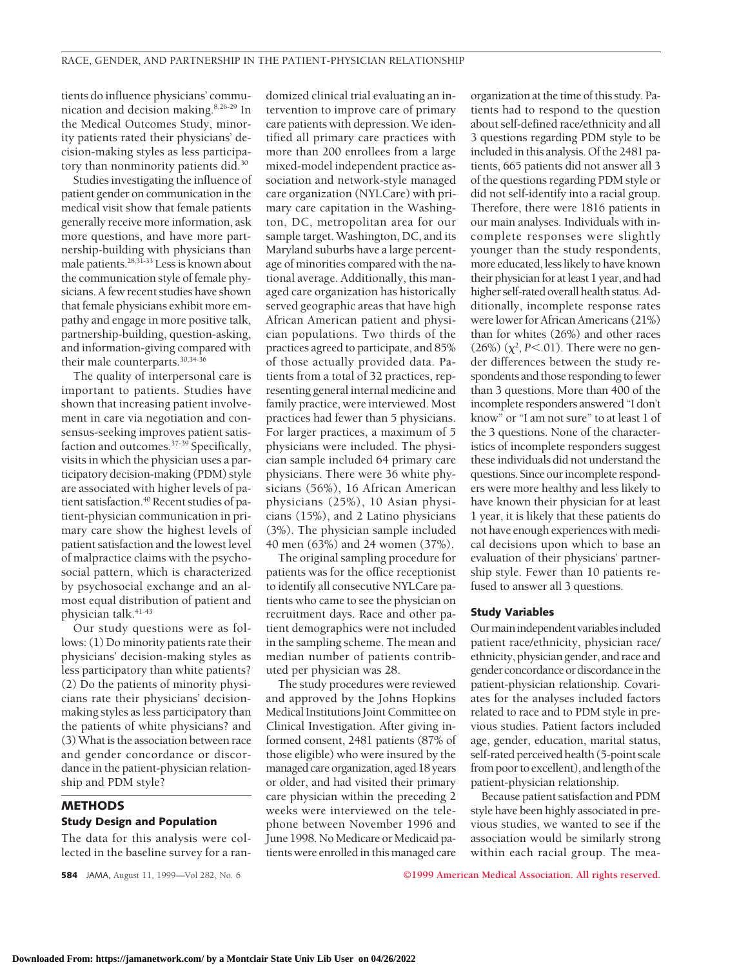tients do influence physicians' communication and decision making.8,26-29 In the Medical Outcomes Study, minority patients rated their physicians' decision-making styles as less participatory than nonminority patients did.30

Studies investigating the influence of patient gender on communication in the medical visit show that female patients generally receive more information, ask more questions, and have more partnership-building with physicians than male patients. $^{28,31-33}$  Less is known about the communication style of female physicians. A few recent studies have shown that female physicians exhibit more empathy and engage in more positive talk, partnership-building, question-asking, and information-giving compared with their male counterparts.30,34-36

The quality of interpersonal care is important to patients. Studies have shown that increasing patient involvement in care via negotiation and consensus-seeking improves patient satisfaction and outcomes.37-39 Specifically, visits in which the physician uses a participatory decision-making (PDM) style are associated with higher levels of patient satisfaction.<sup>40</sup> Recent studies of patient-physician communication in primary care show the highest levels of patient satisfaction and the lowest level of malpractice claims with the psychosocial pattern, which is characterized by psychosocial exchange and an almost equal distribution of patient and physician talk.<sup>41-43</sup>

Our study questions were as follows: (1) Do minority patients rate their physicians' decision-making styles as less participatory than white patients? (2) Do the patients of minority physicians rate their physicians' decisionmaking styles as less participatory than the patients of white physicians? and (3) What is the association between race and gender concordance or discordance in the patient-physician relationship and PDM style?

## **METHODS Study Design and Population**

The data for this analysis were collected in the baseline survey for a ran-

domized clinical trial evaluating an intervention to improve care of primary care patients with depression. We identified all primary care practices with more than 200 enrollees from a large mixed-model independent practice association and network-style managed care organization (NYLCare) with primary care capitation in the Washington, DC, metropolitan area for our sample target. Washington, DC, and its Maryland suburbs have a large percentage of minorities compared with the national average. Additionally, this managed care organization has historically served geographic areas that have high African American patient and physician populations. Two thirds of the practices agreed to participate, and 85% of those actually provided data. Patients from a total of 32 practices, representing general internal medicine and family practice, were interviewed. Most practices had fewer than 5 physicians. For larger practices, a maximum of 5 physicians were included. The physician sample included 64 primary care physicians. There were 36 white physicians (56%), 16 African American physicians (25%), 10 Asian physicians (15%), and 2 Latino physicians (3%). The physician sample included 40 men (63%) and 24 women (37%).

The original sampling procedure for patients was for the office receptionist to identify all consecutive NYLCare patients who came to see the physician on recruitment days. Race and other patient demographics were not included in the sampling scheme. The mean and median number of patients contributed per physician was 28.

The study procedures were reviewed and approved by the Johns Hopkins Medical Institutions Joint Committee on Clinical Investigation. After giving informed consent, 2481 patients (87% of those eligible) who were insured by the managed care organization, aged 18 years or older, and had visited their primary care physician within the preceding 2 weeks were interviewed on the telephone between November 1996 and June 1998. No Medicare or Medicaid patients were enrolled in this managed care

organization at the time of this study. Patients had to respond to the question about self-defined race/ethnicity and all 3 questions regarding PDM style to be included in this analysis. Of the 2481 patients, 665 patients did not answer all 3 of the questions regarding PDM style or did not self-identify into a racial group. Therefore, there were 1816 patients in our main analyses. Individuals with incomplete responses were slightly younger than the study respondents, more educated, less likely to have known their physician for at least 1 year, and had higher self-rated overall health status. Additionally, incomplete response rates were lower for African Americans (21%) than for whites (26%) and other races  $(26%) (\chi^2, P<.01)$ . There were no gender differences between the study respondents and those responding to fewer than 3 questions. More than 400 of the incomplete responders answered "I don't know" or "I am not sure" to at least 1 of the 3 questions. None of the characteristics of incomplete responders suggest these individuals did not understand the questions. Since our incomplete responders were more healthy and less likely to have known their physician for at least 1 year, it is likely that these patients do not have enough experiences with medical decisions upon which to base an evaluation of their physicians' partnership style. Fewer than 10 patients refused to answer all 3 questions.

#### **Study Variables**

Our main independent variables included patient race/ethnicity, physician race/ ethnicity, physician gender, and race and gender concordance or discordance in the patient-physician relationship. Covariates for the analyses included factors related to race and to PDM style in previous studies. Patient factors included age, gender, education, marital status, self-rated perceived health (5-point scale from poor to excellent), and length of the patient-physician relationship.

Because patient satisfaction and PDM style have been highly associated in previous studies, we wanted to see if the association would be similarly strong within each racial group. The mea-

**584** JAMA, August 11, 1999—Vol 282, No. 6 **©1999 American Medical Association. All rights reserved.**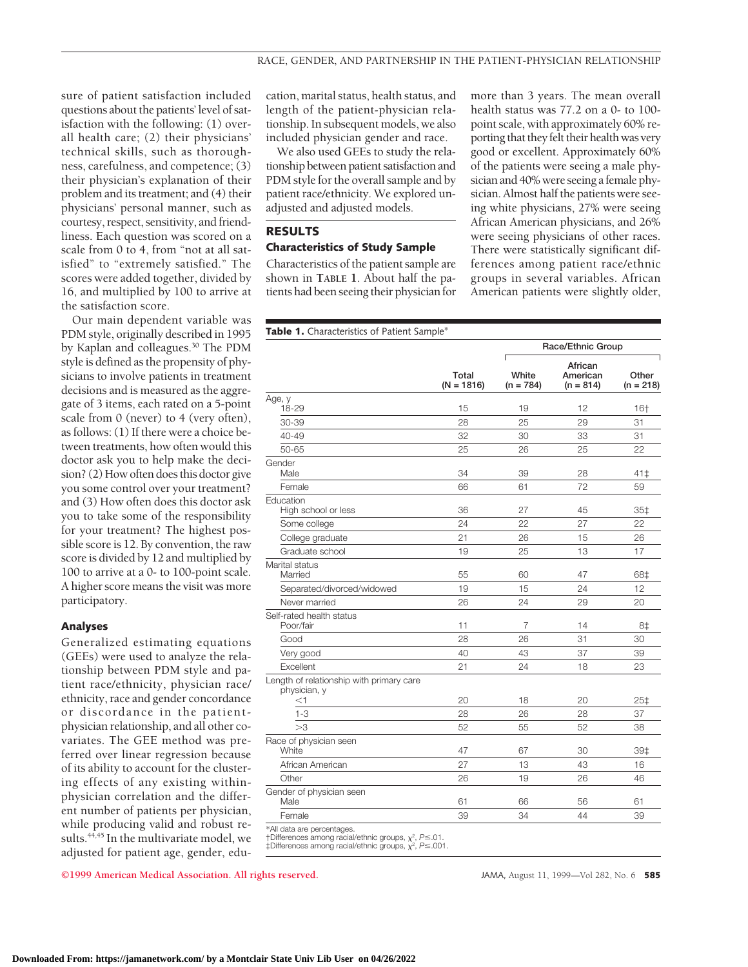sure of patient satisfaction included questions about the patients' level of satisfaction with the following: (1) overall health care; (2) their physicians' technical skills, such as thoroughness, carefulness, and competence; (3) their physician's explanation of their problem and its treatment; and (4) their physicians' personal manner, such as courtesy, respect, sensitivity, and friendliness. Each question was scored on a scale from 0 to 4, from "not at all satisfied" to "extremely satisfied." The scores were added together, divided by 16, and multiplied by 100 to arrive at the satisfaction score.

Our main dependent variable was PDM style, originally described in 1995 by Kaplan and colleagues.<sup>30</sup> The PDM style is defined as the propensity of physicians to involve patients in treatment decisions and is measured as the aggregate of 3 items, each rated on a 5-point scale from 0 (never) to 4 (very often), as follows: (1) If there were a choice between treatments, how often would this doctor ask you to help make the decision? (2) How often does this doctor give you some control over your treatment? and (3) How often does this doctor ask you to take some of the responsibility for your treatment? The highest possible score is 12. By convention, the raw score is divided by 12 and multiplied by 100 to arrive at a 0- to 100-point scale. A higher score means the visit was more participatory.

### **Analyses**

Generalized estimating equations (GEEs) were used to analyze the relationship between PDM style and patient race/ethnicity, physician race/ ethnicity, race and gender concordance or discordance in the patientphysician relationship, and all other covariates. The GEE method was preferred over linear regression because of its ability to account for the clustering effects of any existing withinphysician correlation and the different number of patients per physician, while producing valid and robust results.<sup>44,45</sup> In the multivariate model, we adjusted for patient age, gender, education, marital status, health status, and length of the patient-physician relationship. In subsequent models, we also included physician gender and race.

We also used GEEs to study the relationship between patient satisfaction and PDM style for the overall sample and by patient race/ethnicity. We explored unadjusted and adjusted models.

#### **RESULTS**

#### **Characteristics of Study Sample**

Characteristics of the patient sample are shown in **TABLE 1**. About half the patients had been seeing their physician for

| <b>Table 1.</b> Characteristics of Patient Sample* |  |
|----------------------------------------------------|--|
|----------------------------------------------------|--|

more than 3 years. The mean overall health status was 77.2 on a 0- to 100 point scale, with approximately 60% reporting that they felt their health was very good or excellent. Approximately 60% of the patients were seeing a male physician and 40% were seeing a female physician. Almost half the patients were seeing white physicians, 27% were seeing African American physicians, and 26% were seeing physicians of other races. There were statistically significant differences among patient race/ethnic groups in several variables. African American patients were slightly older,

|                                                          |                       | Race/Ethnic Group    |                                    |                      |  |
|----------------------------------------------------------|-----------------------|----------------------|------------------------------------|----------------------|--|
|                                                          | Total<br>$(N = 1816)$ | White<br>$(n = 784)$ | African<br>American<br>$(n = 814)$ | Other<br>$(n = 218)$ |  |
| Age, y                                                   |                       |                      |                                    |                      |  |
| 18-29                                                    | 15                    | 19                   | 12                                 | 16†                  |  |
| 30-39                                                    | 28                    | 25                   | 29                                 | 31                   |  |
| 40-49                                                    | 32                    | 30                   | 33                                 | 31                   |  |
| $50 - 65$                                                | 25                    | 26                   | 25                                 | 22                   |  |
| Gender<br>Male                                           | 34                    | 39                   | 28                                 | $41+$                |  |
| Female                                                   | 66                    | 61                   | 72                                 | 59                   |  |
| Education<br>High school or less                         | 36                    | 27                   | 45                                 | $35+$                |  |
| Some college                                             | 24                    | 22                   | 27                                 | 22                   |  |
| College graduate                                         | 21                    | 26                   | 15                                 | 26                   |  |
| Graduate school                                          | 19                    | 25                   | 13                                 | 17                   |  |
| Marital status<br>Married                                | 55                    | 60                   | 47                                 | 68‡                  |  |
| Separated/divorced/widowed                               | 19                    | 15                   | 24                                 | 12                   |  |
| Never married                                            | 26                    | 24                   | 29                                 | 20                   |  |
| Self-rated health status<br>Poor/fair                    | 11                    | 7                    | 14                                 | 8‡                   |  |
| Good                                                     | 28                    | 26                   | 31                                 | 30                   |  |
| Very good                                                | 40                    | 43                   | 37                                 | 39                   |  |
| Excellent                                                | 21                    | 24                   | 18                                 | 23                   |  |
| Length of relationship with primary care<br>physician, y |                       |                      |                                    |                      |  |
| $<$ 1                                                    | 20                    | 18                   | 20                                 | $25+$                |  |
| $1 - 3$                                                  | 28                    | 26                   | 28                                 | 37                   |  |
| >3                                                       | 52                    | 55                   | 52                                 | 38                   |  |
| Race of physician seen<br>White                          | 47                    | 67                   | 30                                 | 39‡                  |  |
| African American                                         | 27                    | 13                   | 43                                 | 16                   |  |
| Other                                                    | 26                    | 19                   | 26                                 | 46                   |  |
| Gender of physician seen<br>Male                         | 61                    | 66                   | 56                                 | 61                   |  |
| Female                                                   | 39                    | 34                   | 44                                 | 39                   |  |
| *All data are perceptages                                |                       |                      |                                    |                      |  |

\*All data are percentages.<br>†Differences among racial/ethnic groups, x², *P≤*.01.<br>‡Differences among racial/ethnic groups, x², *P≤*.001.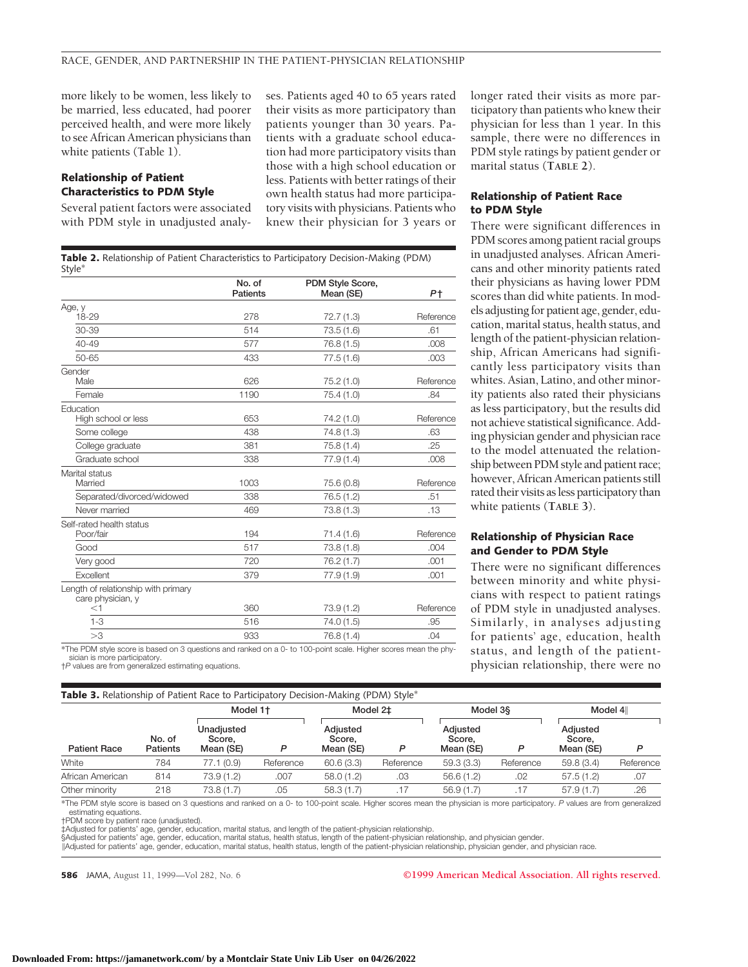more likely to be women, less likely to be married, less educated, had poorer perceived health, and were more likely to see African American physicians than white patients (Table 1).

## **Relationship of Patient Characteristics to PDM Style**

Several patient factors were associated with PDM style in unadjusted analyses. Patients aged 40 to 65 years rated their visits as more participatory than patients younger than 30 years. Patients with a graduate school education had more participatory visits than those with a high school education or less. Patients with better ratings of their own health status had more participatory visits with physicians. Patients who knew their physician for 3 years or longer rated their visits as more participatory than patients who knew their physician for less than 1 year. In this sample, there were no differences in PDM style ratings by patient gender or marital status (**TABLE 2**).

### **Relationship of Patient Race to PDM Style**

There were significant differences in PDM scores among patient racial groups in unadjusted analyses. African Americans and other minority patients rated their physicians as having lower PDM scores than did white patients. In models adjusting for patient age, gender, education, marital status, health status, and length of the patient-physician relationship, African Americans had significantly less participatory visits than whites. Asian, Latino, and other minority patients also rated their physicians as less participatory, but the results did not achieve statistical significance. Adding physician gender and physician race to the model attenuated the relationship between PDM style and patient race; however, African American patients still rated their visits as less participatory than white patients (**TABLE 3**).

#### **Relationship of Physician Race and Gender to PDM Style**

There were no significant differences between minority and white physicians with respect to patient ratings of PDM style in unadjusted analyses. Similarly, in analyses adjusting for patients' age, education, health status, and length of the patientphysician relationship, there were no

**Table 2.** Relationship of Patient Characteristics to Participatory Decision-Making (PDM) Style\*

|                                                                                                                                                 | No. of<br><b>Patients</b> | PDM Style Score,<br>Mean (SE) | P†        |
|-------------------------------------------------------------------------------------------------------------------------------------------------|---------------------------|-------------------------------|-----------|
| Age, y                                                                                                                                          |                           |                               |           |
| 18-29                                                                                                                                           | 278                       | 72.7 (1.3)                    | Reference |
| 30-39                                                                                                                                           | 514                       | 73.5 (1.6)                    | .61       |
| 40-49                                                                                                                                           | 577                       | 76.8 (1.5)                    | .008      |
| 50-65                                                                                                                                           | 433                       | 77.5(1.6)                     | .003      |
| Gender                                                                                                                                          |                           |                               |           |
| Male                                                                                                                                            | 626                       | 75.2(1.0)                     | Reference |
| Female                                                                                                                                          | 1190                      | 75.4 (1.0)                    | .84       |
| Education                                                                                                                                       |                           |                               |           |
| High school or less                                                                                                                             | 653                       | 74.2 (1.0)                    | Reference |
| Some college                                                                                                                                    | 438                       | 74.8 (1.3)                    | .63       |
| College graduate                                                                                                                                | 381                       | 75.8 (1.4)                    | .25       |
| Graduate school                                                                                                                                 | 338                       | 77.9 (1.4)                    | .008      |
| Marital status                                                                                                                                  |                           |                               |           |
| Married                                                                                                                                         | 1003                      | 75.6 (0.8)                    | Reference |
| Separated/divorced/widowed                                                                                                                      | 338                       | 76.5 (1.2)                    | .51       |
| Never married                                                                                                                                   | 469                       | 73.8 (1.3)                    | .13       |
| Self-rated health status                                                                                                                        |                           |                               |           |
| Poor/fair                                                                                                                                       | 194                       | 71.4 (1.6)                    | Reference |
| Good                                                                                                                                            | 517                       | 73.8 (1.8)                    | .004      |
| Very good                                                                                                                                       | 720                       | 76.2 (1.7)                    | .001      |
| Excellent                                                                                                                                       | 379                       | 77.9 (1.9)                    | .001      |
| Length of relationship with primary<br>care physician, y                                                                                        |                           |                               |           |
| $<$ 1                                                                                                                                           | 360                       | 73.9 (1.2)                    | Reference |
| $1 - 3$                                                                                                                                         | 516                       | 74.0 (1.5)                    | .95       |
| >3                                                                                                                                              | 933                       | 76.8 (1.4)                    | .04       |
| *The PDM style score is based on 3 questions and ranked on a 0- to 100-point scale. Higher scores mean the phy-<br>sician is more narticinatory |                           |                               |           |

sician is more participatory. †*P* values are from generalized estimating equations.

| <b>Patient Race</b> |                           | Model 1 <sup>+</sup>              |           | Model 2‡                        |           | Model 36                        |           | Model 4                         |           |
|---------------------|---------------------------|-----------------------------------|-----------|---------------------------------|-----------|---------------------------------|-----------|---------------------------------|-----------|
|                     | No. of<br><b>Patients</b> | Unadjusted<br>Score.<br>Mean (SE) | P         | Adjusted<br>Score.<br>Mean (SE) | P         | Adjusted<br>Score.<br>Mean (SE) | P         | Adjusted<br>Score.<br>Mean (SE) | P         |
| White               | 784                       | 77.1 (0.9)                        | Reference | 60.6(3.3)                       | Reference | 59.3(3.3)                       | Reference | 59.8 (3.4)                      | Reference |
| African American    | 814                       | 73.9 (1.2)                        | .007      | 58.0(1.2)                       | .03       | 56.6(1.2)                       | .02       | 57.5(1.2)                       | .07       |
| Other minority      | 218                       | 73.8 (1.7)                        | .05       | 58.3(1.7)                       | .17       | 56.9(1.7)                       | .17       | 57.9(1.7)                       | .26       |

\*The PDM style score is based on 3 questions and ranked on a 0- to 100-point scale. Higher scores mean the physician is more participatory. *P* values are from generalized estimating equations.

†PDM score by patient race (unadjusted).

‡Adjusted for patients' age, gender, education, marital status, and length of the patient-physician relationship.

§Adjusted for patients' age, gender, education, marital status, health status, length of the patient-physician relationship, and physician gender.

\Adjusted for patients' age, gender, education, marital status, health status, length of the patient-physician relationship, physician gender, and physician race.

**586** JAMA, August 11, 1999—Vol 282, No. 6 **©1999 American Medical Association. All rights reserved.**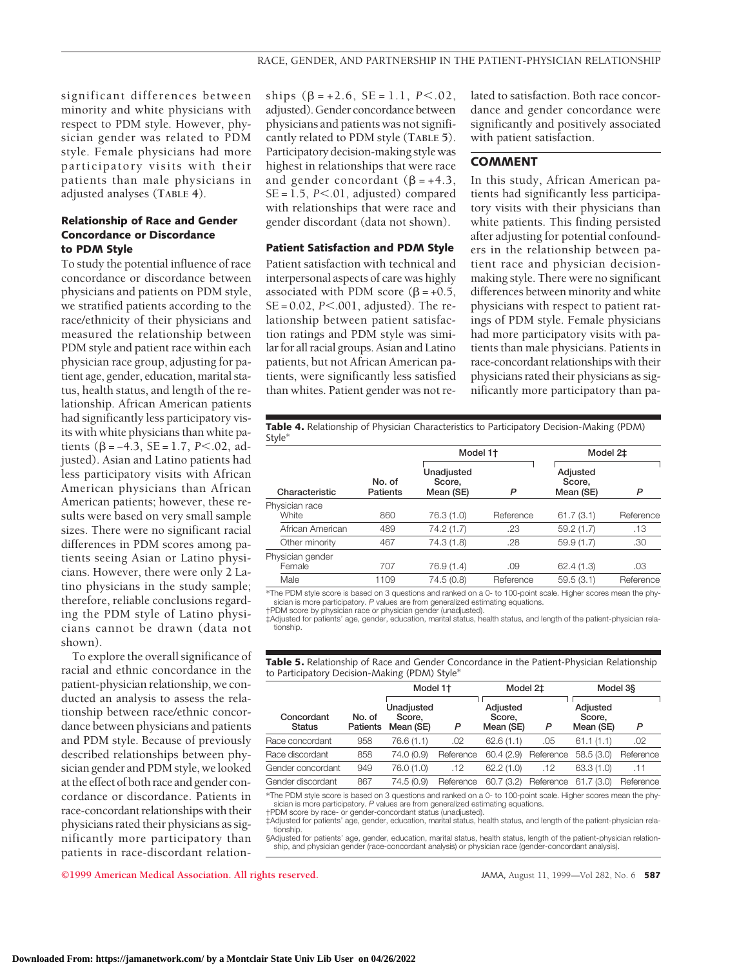significant differences between minority and white physicians with respect to PDM style. However, physician gender was related to PDM style. Female physicians had more participatory visits with their patients than male physicians in adjusted analyses (**TABLE 4**).

#### **Relationship of Race and Gender Concordance or Discordance to PDM Style**

To study the potential influence of race concordance or discordance between physicians and patients on PDM style, we stratified patients according to the race/ethnicity of their physicians and measured the relationship between PDM style and patient race within each physician race group, adjusting for patient age, gender, education, marital status, health status, and length of the relationship. African American patients had significantly less participatory visits with white physicians than white patients  $(\beta = -4.3, SE = 1.7, P < .02, ad$ justed). Asian and Latino patients had less participatory visits with African American physicians than African American patients; however, these results were based on very small sample sizes. There were no significant racial differences in PDM scores among patients seeing Asian or Latino physicians. However, there were only 2 Latino physicians in the study sample; therefore, reliable conclusions regarding the PDM style of Latino physicians cannot be drawn (data not shown).

To explore the overall significance of racial and ethnic concordance in the patient-physician relationship, we conducted an analysis to assess the relationship between race/ethnic concordance between physicians and patients and PDM style. Because of previously described relationships between physician gender and PDM style, we looked at the effect of both race and gender concordance or discordance. Patients in race-concordant relationships with their physicians rated their physicians as significantly more participatory than patients in race-discordant relationships  $(\beta = +2.6, SE = 1.1, P < .02,$ adjusted). Gender concordance between physicians and patients was not significantly related to PDM style (**TABLE 5**). Participatory decision-making style was highest in relationships that were race and gender concordant  $(\beta = +4.3,$  $SE = 1.5$ ,  $P < .01$ , adjusted) compared with relationships that were race and gender discordant (data not shown).

#### **Patient Satisfaction and PDM Style**

Patient satisfaction with technical and interpersonal aspects of care was highly associated with PDM score ( $\beta$  = +0.5,  $SE = 0.02$ ,  $P < .001$ , adjusted). The relationship between patient satisfaction ratings and PDM style was similar for all racial groups. Asian and Latino patients, but not African American patients, were significantly less satisfied than whites. Patient gender was not related to satisfaction. Both race concordance and gender concordance were significantly and positively associated with patient satisfaction.

## **COMMENT**

In this study, African American patients had significantly less participatory visits with their physicians than white patients. This finding persisted after adjusting for potential confounders in the relationship between patient race and physician decisionmaking style. There were no significant differences between minority and white physicians with respect to patient ratings of PDM style. Female physicians had more participatory visits with patients than male physicians. Patients in race-concordant relationships with their physicians rated their physicians as significantly more participatory than pa-

**Table 4.** Relationship of Physician Characteristics to Participatory Decision-Making (PDM) Style\*

|                  |                           | Model 1 <sup>+</sup>              |           | Model 2‡                        |           |  |
|------------------|---------------------------|-----------------------------------|-----------|---------------------------------|-----------|--|
| Characteristic   | No. of<br><b>Patients</b> | Unadjusted<br>Score.<br>Mean (SE) | P         | Adjusted<br>Score.<br>Mean (SE) | P         |  |
| Physician race   |                           |                                   |           |                                 |           |  |
| White            | 860                       | 76.3 (1.0)                        | Reference | 61.7(3.1)                       | Reference |  |
| African American | 489                       | 74.2 (1.7)                        | .23       | 59.2(1.7)                       | .13       |  |
| Other minority   | 467                       | 74.3 (1.8)                        | .28       | 59.9(1.7)                       | .30       |  |
| Physician gender |                           |                                   |           |                                 |           |  |
| Female           | 707                       | 76.9 (1.4)                        | .09       | 62.4(1.3)                       | .03       |  |
| Male             | 1109                      | 74.5 (0.8)                        | Reference | 59.5(3.1)                       | Reference |  |

\*The PDM style score is based on 3 questions and ranked on a 0- to 100-point scale. Higher scores mean the physician is more participatory. *P* values are from generalized estimating equations.

†PDM score by physician race or physician gender (unadjusted).

‡Adjusted for patients' age, gender, education, marital status, health status, and length of the patient-physician relationship.

**Table 5.** Relationship of Race and Gender Concordance in the Patient-Physician Relationship to Participatory Decision-Making (PDM) Style\*

|                             |                           | Model 1 <sup>+</sup>              |           | Model 2‡                        |           | Model 3§                        |           |
|-----------------------------|---------------------------|-----------------------------------|-----------|---------------------------------|-----------|---------------------------------|-----------|
| Concordant<br><b>Status</b> | No. of<br><b>Patients</b> | Unadjusted<br>Score.<br>Mean (SE) | P         | Adjusted<br>Score.<br>Mean (SE) | P         | Adjusted<br>Score.<br>Mean (SE) | P         |
| Race concordant             | 958                       | 76.6 (1.1)                        | .02       | 62.6(1.1)                       | .05       | 61.1(1.1)                       | .02       |
| Race discordant             | 858                       | 74.0 (0.9)                        | Reference | 60.4(2.9)                       | Reference | 58.5(3.0)                       | Reference |
| Gender concordant           | 949                       | 76.0 (1.0)                        | .12       | 62.2(1.0)                       | .12       | 63.3(1.0)                       | .11       |
| Gender discordant           | 867                       | 74.5 (0.9)                        | Reference | 60.7(3.2)                       | Reference | 61.7(3.0)                       | Reference |

\*The PDM style score is based on 3 questions and ranked on a 0- to 100-point scale. Higher scores mean the physician is more participatory. *P* values are from generalized estimating equations. †PDM score by race- or gender-concordant status (unadjusted).

‡Adjusted for patients' age, gender, education, marital status, health status, and length of the patient-physician rela-

tionship. §Adjusted for patients' age, gender, education, marital status, health status, length of the patient-physician relationship, and physician gender (race-concordant analysis) or physician race (gender-concordant analysis).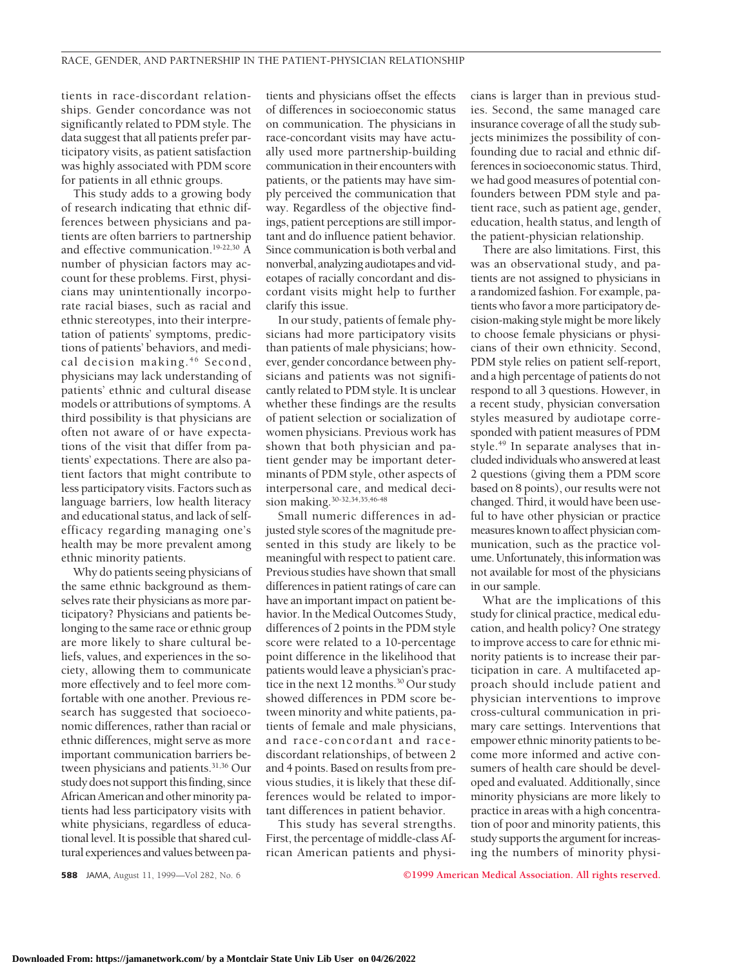tients in race-discordant relationships. Gender concordance was not significantly related to PDM style. The data suggest that all patients prefer participatory visits, as patient satisfaction was highly associated with PDM score for patients in all ethnic groups.

This study adds to a growing body of research indicating that ethnic differences between physicians and patients are often barriers to partnership and effective communication.19-22,30 A number of physician factors may account for these problems. First, physicians may unintentionally incorporate racial biases, such as racial and ethnic stereotypes, into their interpretation of patients' symptoms, predictions of patients' behaviors, and medical decision making.<sup>46</sup> Second, physicians may lack understanding of patients' ethnic and cultural disease models or attributions of symptoms. A third possibility is that physicians are often not aware of or have expectations of the visit that differ from patients' expectations. There are also patient factors that might contribute to less participatory visits. Factors such as language barriers, low health literacy and educational status, and lack of selfefficacy regarding managing one's health may be more prevalent among ethnic minority patients.

Why do patients seeing physicians of the same ethnic background as themselves rate their physicians as more participatory? Physicians and patients belonging to the same race or ethnic group are more likely to share cultural beliefs, values, and experiences in the society, allowing them to communicate more effectively and to feel more comfortable with one another. Previous research has suggested that socioeconomic differences, rather than racial or ethnic differences, might serve as more important communication barriers between physicians and patients.<sup>31,36</sup> Our study does not support this finding, since African American and other minority patients had less participatory visits with white physicians, regardless of educational level. It is possible that shared cultural experiences and values between pa-

tients and physicians offset the effects of differences in socioeconomic status on communication. The physicians in race-concordant visits may have actually used more partnership-building communication in their encounters with patients, or the patients may have simply perceived the communication that way. Regardless of the objective findings, patient perceptions are still important and do influence patient behavior. Since communication is both verbal and nonverbal, analyzing audiotapes and videotapes of racially concordant and discordant visits might help to further clarify this issue.

In our study, patients of female physicians had more participatory visits than patients of male physicians; however, gender concordance between physicians and patients was not significantly related to PDM style. It is unclear whether these findings are the results of patient selection or socialization of women physicians. Previous work has shown that both physician and patient gender may be important determinants of PDM style, other aspects of interpersonal care, and medical decision making.30-32,34,35,46-48

Small numeric differences in adjusted style scores of the magnitude presented in this study are likely to be meaningful with respect to patient care. Previous studies have shown that small differences in patient ratings of care can have an important impact on patient behavior. In the Medical Outcomes Study, differences of 2 points in the PDM style score were related to a 10-percentage point difference in the likelihood that patients would leave a physician's practice in the next 12 months.<sup>30</sup> Our study showed differences in PDM score between minority and white patients, patients of female and male physicians, and race-concordant and racediscordant relationships, of between 2 and 4 points. Based on results from previous studies, it is likely that these differences would be related to important differences in patient behavior.

This study has several strengths. First, the percentage of middle-class African American patients and physicians is larger than in previous studies. Second, the same managed care insurance coverage of all the study subjects minimizes the possibility of confounding due to racial and ethnic differences in socioeconomic status. Third, we had good measures of potential confounders between PDM style and patient race, such as patient age, gender, education, health status, and length of the patient-physician relationship.

There are also limitations. First, this was an observational study, and patients are not assigned to physicians in a randomized fashion. For example, patients who favor a more participatory decision-making style might be more likely to choose female physicians or physicians of their own ethnicity. Second, PDM style relies on patient self-report, and a high percentage of patients do not respond to all 3 questions. However, in a recent study, physician conversation styles measured by audiotape corresponded with patient measures of PDM style.49 In separate analyses that included individuals who answered at least 2 questions (giving them a PDM score based on 8 points), our results were not changed. Third, it would have been useful to have other physician or practice measures known to affect physician communication, such as the practice volume. Unfortunately, this information was not available for most of the physicians in our sample.

What are the implications of this study for clinical practice, medical education, and health policy? One strategy to improve access to care for ethnic minority patients is to increase their participation in care. A multifaceted approach should include patient and physician interventions to improve cross-cultural communication in primary care settings. Interventions that empower ethnic minority patients to become more informed and active consumers of health care should be developed and evaluated. Additionally, since minority physicians are more likely to practice in areas with a high concentration of poor and minority patients, this study supports the argument for increasing the numbers of minority physi-

**588** JAMA, August 11, 1999—Vol 282, No. 6 **©1999 American Medical Association. All rights reserved.**